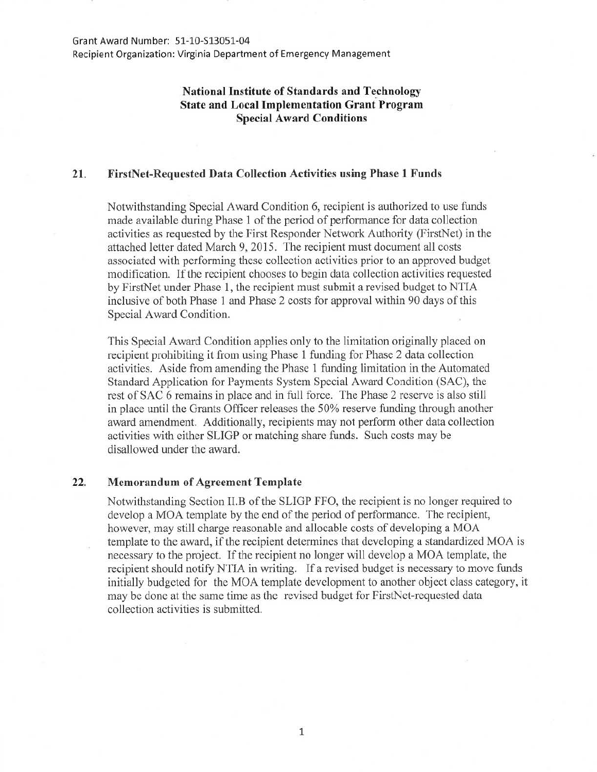Recipient Organization: Virginia Department of Emergency Management

## **National Institute of Standards and Technology State and Local Implementation Grant Program Special Award Conditions**

## **21. FirstNet-Requested Data Collection Activities using Phase 1 Funds**

Notwithstanding Special Award Condition 6, recipient is authorized to use funds made available during Phase 1 of the period of performance for data collection activities as requested by the First Responder Network Authority (FirstNet) in the attached letter dated March 9, 2015. The recipient must document all costs associated with performing these collection activities prior to an approved budget modification. If the recipient chooses to begin data collection activities requested by FirstNet under Phase **1,** the recipient must submit a revised budget to NTIA inclusive of both Phase **1** and Phase 2 costs for approval within 90 days of this Special Award Condition.

This Special Award Condition applies only to the limitation originally placed on recipient prohibiting it from using Phase 1 funding for Phase 2 data collection activities. Aside from amending the Phase 1 funding limitation in the Automated Standard Application for Payments System Special Award Condition (SAC), the rest of SAC 6 remains in place and in full force. The Phase 2 reserve is also still in place until the Grants Officer releases the 50% reserve funding through another award amendment. Additionally, recipients may not perform other data collection activities with either SLIGP or matching share funds. Such costs may be disallowed under the award.

## 22. **Memorandum of Agreement Template**

Notwithstanding Section II.B of the SLIGP FFO, the recipient is no longer required to develop a MOA template by the end of the period of performance. The recipient, however, may still charge reasonable and allocable costs of developing a MOA template to the award, if the recipient determines that developing a standardized MOA is necessary to the project. If the recipient no longer will develop a MOA template, the recipient should notify NTIA in writing. If a revised budget is necessary to move funds initially budgeted for the MOA template development to another object class category, it may be done at the same time as the revised budget for FirstNet-requested data collection activities is submitted.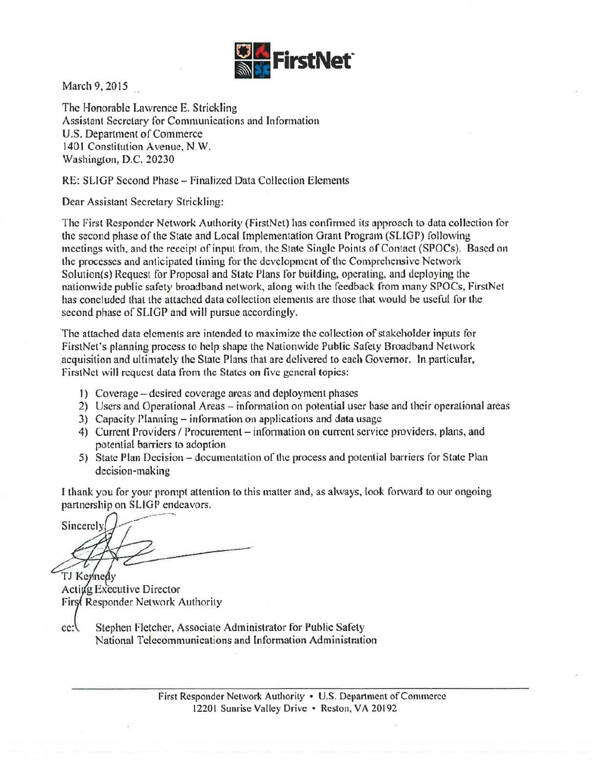

March 9, 2015

The Honorable Lawrence E. Strickling Assistant Secretary for Communications and Information U.S. Department of Commerce 1401 Constitution Avenue, N.W. Washington, D.C. 20230

RE: SLIGP Second Phase- Finalized Data Collection Elements

Dear Assistant Secretary Strickling:

The First Responder Network Authority (FirstNet) has confirmed its approach to data coJiection for the second phase of the State and Local Implementation Grant Program (SLIGP) following meetings with. and the receipt of input trom, the State Single Points of Contact (SPOCs). Based on the processes and anticipated timing tor the development of the Comprehensive Network Solution(s) Request for Proposal and State Plans for building, operating, and deploying the nationwide public safety broadband network, along with the feedback from many SPOCs, FirstNet has concluded that the attached data collection elements are those that would be useful for the second phase of SLIGP and will pursue accordingly.

The attached data elements are intended to maximize the collection of stakeholder inputs for FirstNet's planning process to help shape the Nationwide Public Safety Broadband Network acquisition and ultimately the State Plans that are delivered to each Governor. In particular, FirstNct will request data from the States on five general topics:

- I) Coverage -desired coverage areas and deployment phases
- 2) Users and Operational Areas- information on potential user base and their operational areas
- 3) Capacity Planning- information on applications and data usage
- 4) Current Providers / Procurement information on current service providers, plans, and potential barriers to adoption
- 5) State Plan Decision- documentation of the process and potential barriers for State Plan decision-making

I thank you for your prompt attention to this matter and, as always, look forward to our ongoing partnership on SUGP endeavors.

--~-~- Sincerely

TJ Kennedy Acting Executive Director First Responder Network Authority

cc: Stephen Fletcher, Associate Administrator for Public Safety National Telecommunications and lnformation Administration